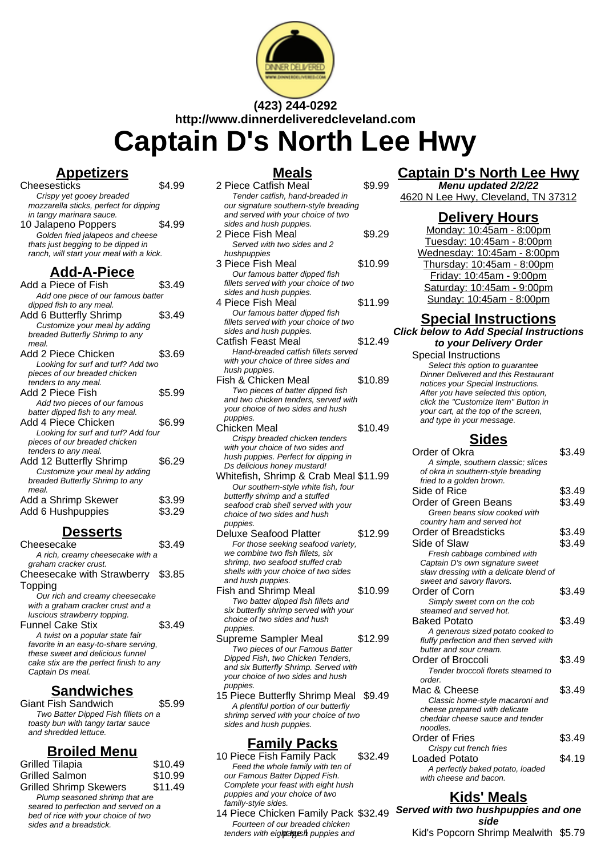

# **(423) 244-0292 http://www.dinnerdeliveredcleveland.com Captain D's North Lee Hwy**

#### **Appetizers**

Cheesesticks \$4.99 Crispy yet gooey breaded mozzarella sticks, perfect for dipping in tangy marinara sauce. 10 Jalapeno Poppers \$4.99

Golden fried jalapeos and cheese thats just begging to be dipped in ranch, will start your meal with a kick.

## **Add-A-Piece**

| Add a Piece of Fish                 | \$3.49 |  |
|-------------------------------------|--------|--|
| Add one piece of our famous batter  |        |  |
| dipped fish to any meal.            |        |  |
| Add 6 Butterfly Shrimp              | \$3.49 |  |
| Customize your meal by adding       |        |  |
| breaded Butterfly Shrimp to any     |        |  |
| meal.                               |        |  |
| Add 2 Piece Chicken                 | \$3.69 |  |
| Looking for surf and turf? Add two  |        |  |
| pieces of our breaded chicken       |        |  |
| tenders to any meal.                |        |  |
| Add 2 Piece Fish                    | \$5.99 |  |
| Add two pieces of our famous        |        |  |
| batter dipped fish to any meal.     |        |  |
| Add 4 Piece Chicken                 | \$6.99 |  |
| Looking for surf and turf? Add four |        |  |
| pieces of our breaded chicken       |        |  |
| tenders to any meal.                |        |  |
| Add 12 Butterfly Shrimp             | \$6.29 |  |
| Customize your meal by adding       |        |  |
| breaded Butterfly Shrimp to any     |        |  |
| meal.                               |        |  |
| Add a Shrimp Skewer                 | \$3.99 |  |
| Add 6 Hushpuppies                   | \$3.29 |  |

#### **Desserts**

| Cheesecake                              |        |  |
|-----------------------------------------|--------|--|
| A rich, creamy cheesecake with a        |        |  |
| graham cracker crust.                   |        |  |
| Cheesecake with Strawberry \$3.85       |        |  |
| Topping                                 |        |  |
| Our rich and creamy cheesecake          |        |  |
| with a graham cracker crust and a       |        |  |
| luscious strawberry topping.            |        |  |
| <b>Funnel Cake Stix</b>                 | \$3.49 |  |
| A twist on a popular state fair         |        |  |
| favorite in an easy-to-share serving,   |        |  |
| these sweet and delicious funnel        |        |  |
| cake stix are the perfect finish to any |        |  |
| Captain Ds meal.                        |        |  |
|                                         |        |  |

## **Sandwiches**

Giant Fish Sandwich \$5.99 Two Batter Dipped Fish fillets on a toasty bun with tangy tartar sauce and shredded lettuce.

#### **Broiled Menu**

| Grilled Tilapia                                                                                                                          | \$10.49 |
|------------------------------------------------------------------------------------------------------------------------------------------|---------|
| Grilled Salmon                                                                                                                           | \$10.99 |
| <b>Grilled Shrimp Skewers</b>                                                                                                            | \$11.49 |
| Plump seasoned shrimp that are<br>seared to perfection and served on a<br>bed of rice with your choice of two<br>sides and a breadstick. |         |
|                                                                                                                                          |         |

## **Meals**

| <u>ινισαιο</u>                                                    |         |  |
|-------------------------------------------------------------------|---------|--|
| 2 Piece Catfish Meal                                              | \$9.99  |  |
| Tender catfish, hand-breaded in                                   |         |  |
| our signature southern-style breading                             |         |  |
| and served with your choice of two                                |         |  |
| sides and hush puppies.                                           |         |  |
| 2 Piece Fish Meal                                                 | \$9.29  |  |
| Served with two sides and 2                                       |         |  |
| hushpuppies                                                       |         |  |
| 3 Piece Fish Meal                                                 | \$10.99 |  |
| Our famous batter dipped fish                                     |         |  |
| fillets served with your choice of two                            |         |  |
| sides and hush puppies.                                           |         |  |
| 4 Piece Fish Meal                                                 | \$11.99 |  |
|                                                                   |         |  |
| Our famous batter dipped fish                                     |         |  |
| fillets served with your choice of two<br>sides and hush puppies. |         |  |
| Catfish Feast Meal                                                | \$12.49 |  |
|                                                                   |         |  |
| Hand-breaded catfish fillets served                               |         |  |
| with your choice of three sides and                               |         |  |
| hush puppies.<br>Fish & Chicken Meal                              |         |  |
|                                                                   | \$10.89 |  |
| Two pieces of batter dipped fish                                  |         |  |
| and two chicken tenders, served with                              |         |  |
| your choice of two sides and hush                                 |         |  |
| puppies.                                                          |         |  |
| Chicken Meal                                                      | \$10.49 |  |
| Crispy breaded chicken tenders                                    |         |  |
| with your choice of two sides and                                 |         |  |
| hush puppies. Perfect for dipping in                              |         |  |
| Ds delicious honey mustard!                                       |         |  |
| Whitefish, Shrimp & Crab Meal \$11.99                             |         |  |
| Our southern-style white fish, four                               |         |  |
| butterfly shrimp and a stuffed                                    |         |  |
| seafood crab shell served with your                               |         |  |
| choice of two sides and hush                                      |         |  |
| puppies.                                                          |         |  |
| Deluxe Seafood Platter                                            | \$12.99 |  |
| For those seeking seafood variety,                                |         |  |
| we combine two fish fillets, six                                  |         |  |
| shrimp, two seafood stuffed crab                                  |         |  |
| shells with your choice of two sides                              |         |  |
| and hush puppies.                                                 |         |  |
| <b>Fish and Shrimp Meal</b>                                       | \$10.99 |  |
| Two batter dipped fish fillets and                                |         |  |
| six butterfly shrimp served with your                             |         |  |
| choice of two sides and hush                                      |         |  |
| puppies.                                                          |         |  |

- Supreme Sampler Meal \$12.99 Two pieces of our Famous Batter Dipped Fish, two Chicken Tenders, and six Butterfly Shrimp. Served with your choice of two sides and hush puppies.
- 15 Piece Butterfly Shrimp Meal \$9.49 A plentiful portion of our butterfly shrimp served with your choice of two sides and hush puppies.

## **Family Packs**

- 10 Piece Fish Family Pack \$32.49 Feed the whole family with ten of our Famous Batter Dipped Fish. Complete your feast with eight hush puppies and your choice of two family-style sides.
- 14 Piece Chicken Family Pack \$32.49 Fourteen of our breaded chicken tenders with eight algesh puppies and

# **Captain D's North Lee Hwy**

**Menu updated 2/2/22** 4620 N Lee Hwy, Cleveland, TN 37312

#### **Delivery Hours**

Monday: 10:45am - 8:00pm Tuesday: 10:45am - 8:00pm Wednesday: 10:45am - 8:00pm Thursday: 10:45am - 8:00pm Friday: 10:45am - 9:00pm Saturday: 10:45am - 9:00pm Sunday: 10:45am - 8:00pm

#### **Special Instructions Click below to Add Special Instructions**

**to your Delivery Order**

Special Instructions Select this option to quarantee Dinner Delivered and this Restaurant notices your Special Instructions. After you have selected this option, click the "Customize Item" Button in your cart, at the top of the screen, and type in your message.

## **Sides**

| Order of Okra                          | \$3.49 |
|----------------------------------------|--------|
| A simple, southern classic; slices     |        |
| of okra in southern-style breading     |        |
| fried to a golden brown.               |        |
| Side of Rice                           | \$3.49 |
| Order of Green Beans                   | \$3.49 |
| Green beans slow cooked with           |        |
| country ham and served hot             |        |
| Order of Breadsticks                   | \$3.49 |
| Side of Slaw                           | \$3.49 |
| Fresh cabbage combined with            |        |
| Captain D's own signature sweet        |        |
| slaw dressing with a delicate blend of |        |
| sweet and savory flavors.              |        |
| Order of Corn                          | \$3.49 |
| Simply sweet corn on the cob           |        |
| steamed and served hot.                |        |
| <b>Baked Potato</b>                    | \$3.49 |
| A generous sized potato cooked to      |        |
| fluffy perfection and then served with |        |
| butter and sour cream.                 |        |
| Order of Broccoli                      | \$3.49 |
| Tender broccoli florets steamed to     |        |
| order.                                 |        |
| Mac & Cheese                           | \$3.49 |
| Classic home-style macaroni and        |        |
| cheese prepared with delicate          |        |
| cheddar cheese sauce and tender        |        |
| noodles.                               |        |
| Order of Fries                         | \$3.49 |
| Crispy cut french fries                |        |
| Loaded Potato                          | \$4.19 |
| A perfectly baked potato, loaded       |        |
| with cheese and bacon.                 |        |

## **Kids' Meals**

**Served with two hushpuppies and one side** Kid's Popcorn Shrimp Mealwith \$5.79